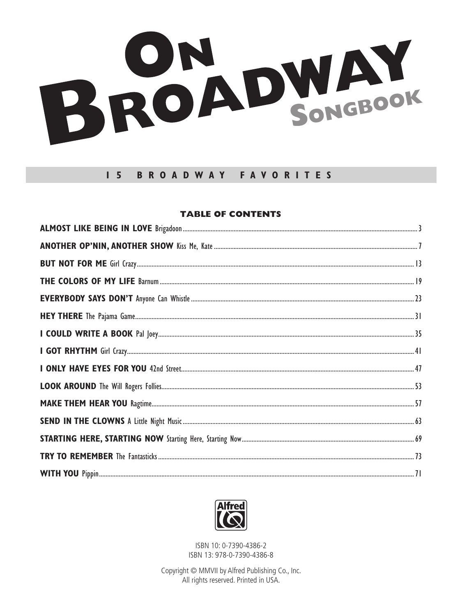

## **BROADWAY FAVORITES**  $1<sub>5</sub>$

## **TABLE OF CONTENTS**



ISBN 10: 0-7390-4386-2 ISBN 13: 978-0-7390-4386-8

Copyright © MMVII by Alfred Publishing Co., Inc. All rights reserved. Printed in USA.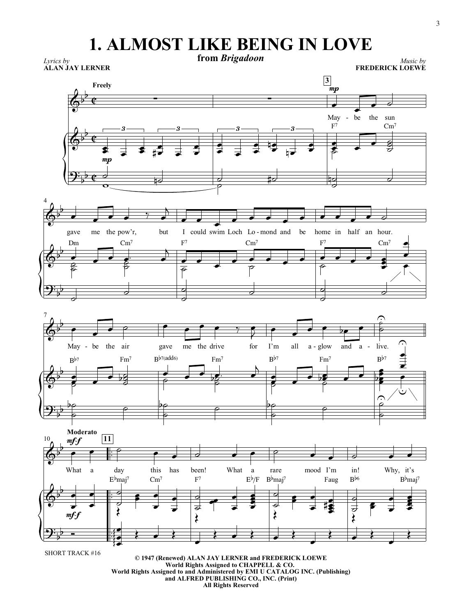## **1. ALMOST LIKE BEING IN LOVE**

 $\overline{\mathfrak{e}}$ ¢ ¢ *Lyrics by* **from** *Brigadoon* **ALAN JAY LERNER Freely** *Music by* **FREDERICK LOEWE 3**  $\overline{\mathbb{Q}^{\flat}}$  $\frac{1}{2}$ May mp  $\overline{\phantom{a}}$ the sun  $\overline{\phantom{a}}$  $\overline{\phantom{a}}$  $\overline{\Phi^{\flat}}$  $\mathbf{b}$  $\overline{\bullet}$  $\overline{\bullet}$  $\frac{1}{2}$  $\overline{\bullet}$ 3  $\bullet$  $\frac{1}{\epsilon}$  $\sharp$   $\neq$   $\sharp$  $\frac{1}{\epsilon}$ 3  $\bullet$  $\overline{\bullet}$  $\frac{1}{2}$  $\frac{1}{\bullet}$ 3  $\bullet$ 19  $\frac{1}{\sqrt{2}}$  $\overline{\phantom{0}}$  $3 \longrightarrow \qquad \qquad F^7$ e<br>8  $\overline{\bullet}$ Z Cm<sup>7</sup>  $\overline{\phantom{a}}$  $\bullet$  8 g g  $\mathbf{\mathcal{G}}^{\mathbf{\cdot}}_{\flat}$  $\overline{b}$ mp  $\overline{\phantom{a}}$  $\frac{1}{\sqrt{2}}$  $\frac{\partial}{\partial \phi}$ ‡ठ  $\partial$  $\frac{1}{2}$ 4  $\overline{\mathbb{Q}^{\flat}}$  $\mathsf{b}$ gave  $\overline{\phantom{0}}$ me the pow'r,  $\overline{\phantom{a}}$ but  $\frac{1}{\bullet}$  $\overline{B}$ could swim Loch Lo  $\overline{\phantom{a}}$  $\overline{\phantom{a}}$  $\overline{\bullet}$ - mond and be home  $\overrightarrow{ }$ home in half an hour.  $\overrightarrow{a}$  ,  $\overrightarrow{a}$  ,  $\overline{\mathbb{Q}^{\flat}}$  $\mathsf{b}$ Dm  $\overrightarrow{ }$  $\frac{1}{2}$  $\frac{2}{5}$ Cm<sup>7</sup>  $\frac{1}{2}$ Б<br>О  $F<sup>7</sup>$  $\frac{1}{\bullet}$  $\overline{B}$ 6  $\mathrm{Cm}^7$  $\overline{\phantom{a}}$  $\overline{\bullet}$  $\overline{\phantom{a}}$  $\frac{1}{\sigma}$  $F<sup>7</sup>$  $\frac{1}{2}$  $\frac{1}{\rho}$  $\mathrm{Cm}^7$  $\frac{1}{2}$ Ĭ  $\bullet$  $\overline{\bullet}$  $\overline{\bullet}$  $\overline{\phantom{a}}$  $\frac{1}{\sqrt{2}}$  $\mathbf{\mathcal{Y}}^{\mathbf{:}}_{\flat}$  $\overline{b}$  $\overline{\partial}$  $\overline{\partial}$  $\overline{\partial}$  $\overline{\mathbf{a}}$   $\overline{\mathbf{a}}$  $\overline{\partial}$  $\overline{\mathbf{a}}$   $\overline{\mathbf{a}}$ 7  $\overline{\mathbb{Q}^{\flat}}$  $\mathbf{b}$ May - be the air  $\overline{\bullet}$  $\overline{\phantom{a}}$  $\bullet$   $\rho$ gave  $\overline{\bullet}$ me the drive  $\bullet$   $\bullet$   $\bullet$   $\circ$ for I'm  $\overline{\mathbf{R}}$  $\overline{\ }$ all a - glow and a - live.  $\overline{\phantom{a}}$  $\overline{\cdot}$   $\overline{\cdot}$   $\frac{1}{2}$ r. -  $\overline{\mathbb{Q}^{\flat}}$  $\mathsf{b}$  $B^{b7}$ e<br>8  $\overline{\phantom{a}}$  $\bar{\bm{z}}$ Fm7  $\overrightarrow{ }$  $\bullet$   $\overline{26}$  $\frac{8}{3}$  $\overline{8}$  $B^{\frac{1}{2}}$  $\frac{1}{\sqrt{2}}$  $\frac{\bullet}{\rho}$ Fm7  $\frac{1}{\sqrt{2}}$  $\overline{\mathbf{z}}$ **D**<br>P  $B^{b7}$  $\overline{\phantom{a}}$  $\overline{A}$ e<br>8  $\overline{\bullet}$  $\bar{\bm{z}}$ Fm7  $\overrightarrow{ }$  $\frac{1}{2}$  $\overrightarrow{\bullet}$  $\frac{1}{6}$  $B^{b7}$  $\overline{\phantom{a}}$  $\frac{2}{5}$  $\frac{3}{2}$  $\overline{\cup}$  $\overline{\phantom{0}}$ <u>|</u> چ  $\mathbf{\mathcal{Y}}$  ,  $\frac{b}{2}$  $\frac{1}{2}$  $\frac{1}{\sqrt{2}}$  $\frac{1}{2}$  $\frac{1}{\rho}$  $\frac{1}{2}$  $\frac{1}{\sqrt{2}}$  $\widehat{\epsilon}$  $\overline{\phantom{0}}$ 10 **Moderato**  $\frac{1}{1}$  $\frac{1}{1}$  $\frac{1}{1}$  $\frac{1}{1}$  $\frac{1}{1}$  $\frac{1}{1}$ **11**  $\overline{\mathbb{Q}^{\flat}}$  $\mathsf{b}$ What mf*-*f  $\overline{\bullet}$ a  $\bullet$ day  $\overline{P}$ this  $\overline{\bullet}$ has  $\overline{\bullet}$ been!  $\overline{\partial}$ What  $\overline{\phantom{a}}$ a  $\overline{\bullet}$ rare  $\overline{\rho}$ mood I'm  $\overline{\phantom{a}}$  $\overline{\phantom{a}}$ in!  $\frac{1}{2}$ Why, it's  $\overline{\bullet}$  $\overline{\phantom{a}}$  $\overline{\mathbb{G}}^{\flat}$  $\mathsf{b}$ mf*-*f  $\overline{\phantom{a}}$  $\frac{1}{\bullet}$  $\overline{\phantom{a}}$  $\overline{\phantom{a}}$  $E^{\flat}$ maj<sup>7</sup>  $\check{\xi}$  $\overline{\overline{S}}$  $\circ$  , Cm<sup>7</sup>  $\overline{\phantom{a}}$  $\frac{1}{\bullet}$  $\overline{\phantom{0}}$  $\frac{1}{\bullet}$  $\rm F^7$ ≹ ड  $\overline{\phantom{0}}$  $\overline{\overline{\phantom{a}}}$  $\overline{\phantom{0}}$  $\overline{\phantom{0}}$  $E^{\flat}/F$ z<br>J Î  $\overline{\bullet}$  $\overline{\bullet}$  $B^{b}$ maj<sup>7</sup>  $\lambda$  $\overline{\epsilon}$  $\frac{1}{2}$  $\overline{\phantom{0}}$  $\overline{\phantom{0}}$ Faug Ş į  $\bullet$  $\frac{1}{3}$ Bb6  $\check{\xi}$  $\overline{\mathsf{d}}$  $\frac{1}{2}$  $\frac{1}{2}$  $\overline{\bullet}$  $B^{\flat}$ maj<sup>7</sup> ĕ i Ş  $\overline{\bullet}$  $\mathbf{\mathcal{Y}}^{\mathbf{:}}_{\flat}$  $\overline{b}$  $\overline{\phantom{a}}$  $\frac{1}{2}$ Ş  $\begin{array}{c} \bullet \end{array}$  $\overline{\phantom{a}}$  $\leftarrow$  $\overline{\phantom{a}}$  $\leftarrow$  $\overline{\phantom{a}}$  $\frac{1}{\lambda}$ 

SHORT TRACK #16

**© 1947 (Renewed) ALAN JAY LERNER and FREDERICK LOEWE World Rights Assigned to CHAPPELL & CO. World Rights Assigned to and Administered by EMI U CATALOG INC. (Publishing) and ALFRED PUBLISHING CO., INC. (Print) All Rights Reserved**